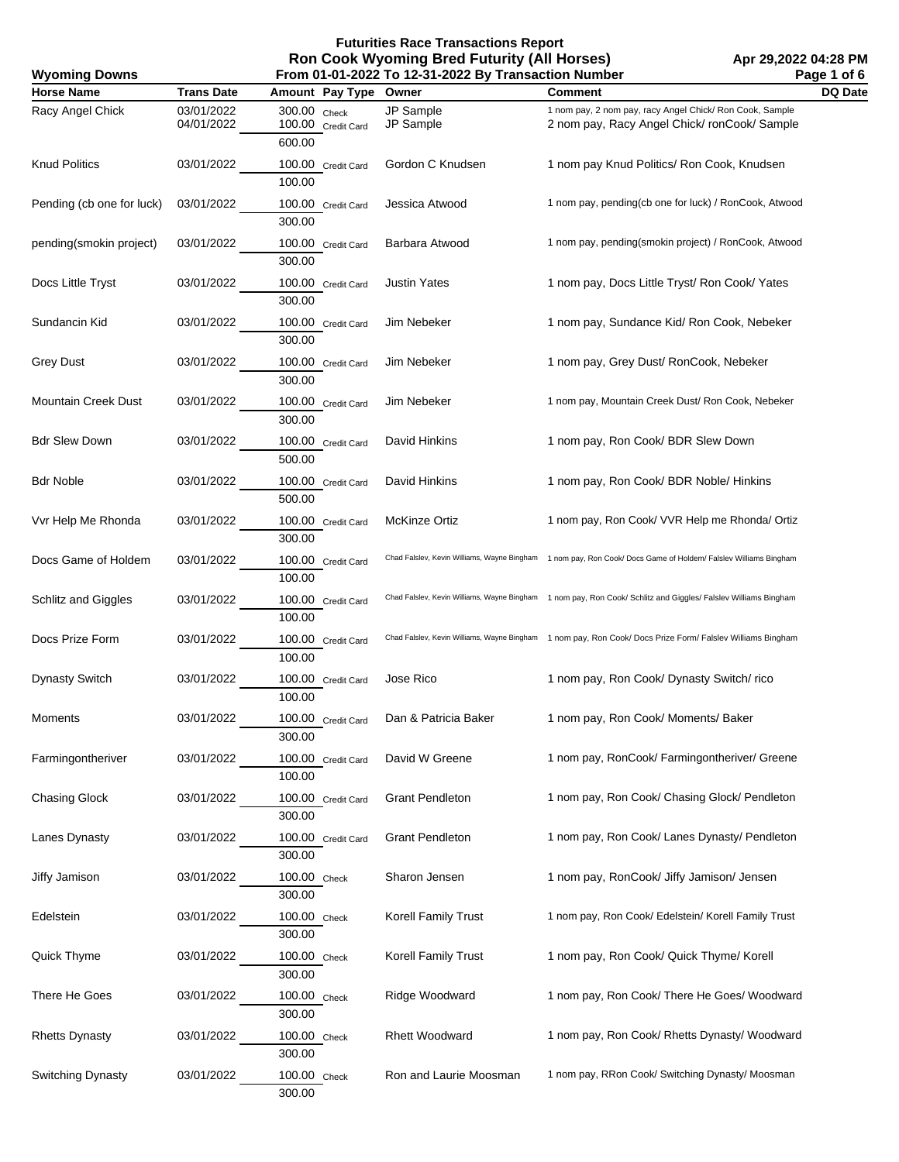**Futurities Race Transactions Report Ron Cook Wyoming Bred Futurity (All Horses) From 01-01-2022 To 12-31-2022 By Transaction Number**

**Apr 29,2022 04:28 PM Page 1 of 6**

| From 01-01-2022 To 12-31-2022 By Transaction Number<br><b>Wyoming Downs</b> |                          |                                        |                            |                                                                                                                | Page 1 of 6 |
|-----------------------------------------------------------------------------|--------------------------|----------------------------------------|----------------------------|----------------------------------------------------------------------------------------------------------------|-------------|
| <b>Horse Name</b>                                                           | <b>Trans Date</b>        | Amount Pay Type                        | Owner                      | <b>Comment</b>                                                                                                 | DQ Date     |
| Racy Angel Chick                                                            | 03/01/2022<br>04/01/2022 | 300.00 Check<br>100.00 Credit Card     | JP Sample<br>JP Sample     | 1 nom pay, 2 nom pay, racy Angel Chick/ Ron Cook, Sample<br>2 nom pay, Racy Angel Chick/ronCook/Sample         |             |
| <b>Knud Politics</b>                                                        | 03/01/2022               | 600.00<br>100.00 Credit Card<br>100.00 | Gordon C Knudsen           | 1 nom pay Knud Politics/ Ron Cook, Knudsen                                                                     |             |
| Pending (cb one for luck)                                                   | 03/01/2022               | 100.00 Credit Card<br>300.00           | Jessica Atwood             | 1 nom pay, pending(cb one for luck) / RonCook, Atwood                                                          |             |
| pending(smokin project)                                                     | 03/01/2022               | 100.00 Credit Card<br>300.00           | Barbara Atwood             | 1 nom pay, pending(smokin project) / RonCook, Atwood                                                           |             |
| Docs Little Tryst                                                           | 03/01/2022               | 100.00 Credit Card<br>300.00           | <b>Justin Yates</b>        | 1 nom pay, Docs Little Tryst/ Ron Cook/ Yates                                                                  |             |
| Sundancin Kid                                                               | 03/01/2022               | 100.00 Credit Card<br>300.00           | Jim Nebeker                | 1 nom pay, Sundance Kid/ Ron Cook, Nebeker                                                                     |             |
| <b>Grey Dust</b>                                                            | 03/01/2022               | 100.00 Credit Card<br>300.00           | Jim Nebeker                | 1 nom pay, Grey Dust/ RonCook, Nebeker                                                                         |             |
| <b>Mountain Creek Dust</b>                                                  | 03/01/2022               | 100.00 Credit Card<br>300.00           | Jim Nebeker                | 1 nom pay, Mountain Creek Dust/ Ron Cook, Nebeker                                                              |             |
| <b>Bdr Slew Down</b>                                                        | 03/01/2022               | 100.00 Credit Card<br>500.00           | David Hinkins              | 1 nom pay, Ron Cook/ BDR Slew Down                                                                             |             |
| <b>Bdr Noble</b>                                                            | 03/01/2022               | 100.00 Credit Card<br>500.00           | David Hinkins              | 1 nom pay, Ron Cook/ BDR Noble/ Hinkins                                                                        |             |
| Vvr Help Me Rhonda                                                          | 03/01/2022               | 100.00 Credit Card<br>300.00           | <b>McKinze Ortiz</b>       | 1 nom pay, Ron Cook/ VVR Help me Rhonda/ Ortiz                                                                 |             |
| Docs Game of Holdem                                                         | 03/01/2022               | 100.00 Credit Card<br>100.00           |                            | Chad Falslev, Kevin Williams, Wayne Bingham 1 nom pay, Ron Cook/ Docs Game of Holdem/ Falslev Williams Bingham |             |
| Schlitz and Giggles                                                         | 03/01/2022               | 100.00 Credit Card<br>100.00           |                            | Chad Falslev, Kevin Williams, Wayne Bingham 1 nom pay, Ron Cook/ Schlitz and Giggles/ Falslev Williams Bingham |             |
| Docs Prize Form                                                             | 03/01/2022               | 100.00 Credit Card<br>100.00           |                            | Chad Falslev, Kevin Williams, Wayne Bingham 1 nom pay, Ron Cook/ Docs Prize Form/ Falslev Williams Bingham     |             |
| <b>Dynasty Switch</b>                                                       | 03/01/2022               | 100.00 Credit Card<br>100.00           | Jose Rico                  | 1 nom pay, Ron Cook/ Dynasty Switch/rico                                                                       |             |
| Moments                                                                     | 03/01/2022               | 100.00 Credit Card<br>300.00           | Dan & Patricia Baker       | 1 nom pay, Ron Cook/ Moments/ Baker                                                                            |             |
| Farmingontheriver                                                           | 03/01/2022               | 100.00 Credit Card<br>100.00           | David W Greene             | 1 nom pay, RonCook/ Farmingontheriver/ Greene                                                                  |             |
| <b>Chasing Glock</b>                                                        | 03/01/2022               | 100.00 Credit Card<br>300.00           | <b>Grant Pendleton</b>     | 1 nom pay, Ron Cook/ Chasing Glock/ Pendleton                                                                  |             |
| Lanes Dynasty                                                               | 03/01/2022               | 100.00 Credit Card<br>300.00           | <b>Grant Pendleton</b>     | 1 nom pay, Ron Cook/ Lanes Dynasty/ Pendleton                                                                  |             |
| Jiffy Jamison                                                               | 03/01/2022               | 100.00 Check<br>300.00                 | Sharon Jensen              | 1 nom pay, RonCook/ Jiffy Jamison/ Jensen                                                                      |             |
| Edelstein                                                                   | 03/01/2022               | 100.00 Check<br>300.00                 | <b>Korell Family Trust</b> | 1 nom pay, Ron Cook/ Edelstein/ Korell Family Trust                                                            |             |
| Quick Thyme                                                                 | 03/01/2022               | 100.00 Check<br>300.00                 | Korell Family Trust        | 1 nom pay, Ron Cook/ Quick Thyme/ Korell                                                                       |             |
| There He Goes                                                               | 03/01/2022               | 100.00 Check<br>300.00                 | Ridge Woodward             | 1 nom pay, Ron Cook/ There He Goes/ Woodward                                                                   |             |
| <b>Rhetts Dynasty</b>                                                       | 03/01/2022               | 100.00 Check<br>300.00                 | <b>Rhett Woodward</b>      | 1 nom pay, Ron Cook/ Rhetts Dynasty/ Woodward                                                                  |             |
| Switching Dynasty                                                           | 03/01/2022               | 100.00 Check<br>300.00                 | Ron and Laurie Moosman     | 1 nom pay, RRon Cook/ Switching Dynasty/ Moosman                                                               |             |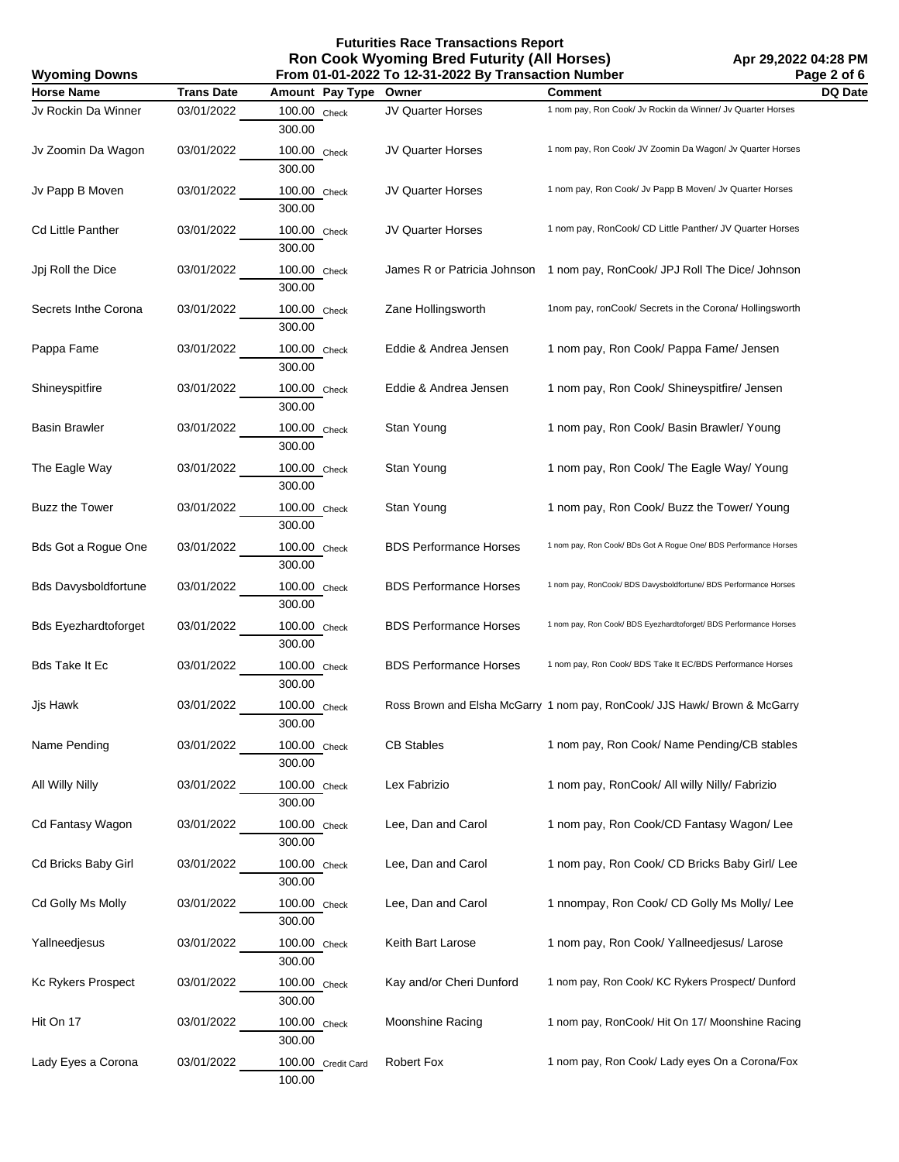## **Futurities Race Transactions Report Ron Cook Wyoming Bred Futurity (All Horses)**

| <b>Wyoming Downs</b>        |                   |                              | From 01-01-2022 To 12-31-2022 By Transaction Number |                                                                            | Page 2 of 6 |
|-----------------------------|-------------------|------------------------------|-----------------------------------------------------|----------------------------------------------------------------------------|-------------|
| <b>Horse Name</b>           | <b>Trans Date</b> | Amount Pay Type              | Owner                                               | <b>Comment</b>                                                             | DQ Date     |
| Jv Rockin Da Winner         | 03/01/2022        | 100.00 Check<br>300.00       | JV Quarter Horses                                   | 1 nom pay, Ron Cook/ Jv Rockin da Winner/ Jv Quarter Horses                |             |
| Jv Zoomin Da Wagon          | 03/01/2022        | 100.00 Check<br>300.00       | JV Quarter Horses                                   | 1 nom pay, Ron Cook/ JV Zoomin Da Wagon/ Jv Quarter Horses                 |             |
| Jv Papp B Moven             | 03/01/2022        | 100.00 Check<br>300.00       | JV Quarter Horses                                   | 1 nom pay, Ron Cook/ Jv Papp B Moven/ Jv Quarter Horses                    |             |
| Cd Little Panther           | 03/01/2022        | 100.00 Check<br>300.00       | JV Quarter Horses                                   | 1 nom pay, RonCook/ CD Little Panther/ JV Quarter Horses                   |             |
| Jpj Roll the Dice           | 03/01/2022        | 100.00 Check<br>300.00       | James R or Patricia Johnson                         | 1 nom pay, RonCook/ JPJ Roll The Dice/ Johnson                             |             |
| Secrets Inthe Corona        | 03/01/2022        | 100.00 Check<br>300.00       | Zane Hollingsworth                                  | 1nom pay, ronCook/ Secrets in the Corona/ Hollingsworth                    |             |
| Pappa Fame                  | 03/01/2022        | 100.00 Check<br>300.00       | Eddie & Andrea Jensen                               | 1 nom pay, Ron Cook/ Pappa Fame/ Jensen                                    |             |
| Shineyspitfire              | 03/01/2022        | 100.00 Check<br>300.00       | Eddie & Andrea Jensen                               | 1 nom pay, Ron Cook/ Shineyspitfire/ Jensen                                |             |
| <b>Basin Brawler</b>        | 03/01/2022        | 100.00 Check<br>300.00       | Stan Young                                          | 1 nom pay, Ron Cook/ Basin Brawler/ Young                                  |             |
| The Eagle Way               | 03/01/2022        | 100.00 Check<br>300.00       | Stan Young                                          | 1 nom pay, Ron Cook/ The Eagle Way/ Young                                  |             |
| <b>Buzz the Tower</b>       | 03/01/2022        | 100.00 Check<br>300.00       | Stan Young                                          | 1 nom pay, Ron Cook/ Buzz the Tower/ Young                                 |             |
| Bds Got a Rogue One         | 03/01/2022        | 100.00 Check<br>300.00       | <b>BDS Performance Horses</b>                       | 1 nom pay, Ron Cook/ BDs Got A Rogue One/ BDS Performance Horses           |             |
| <b>Bds Davysboldfortune</b> | 03/01/2022        | 100.00 Check<br>300.00       | <b>BDS Performance Horses</b>                       | 1 nom pay, RonCook/ BDS Davysboldfortune/ BDS Performance Horses           |             |
| <b>Bds Eyezhardtoforget</b> | 03/01/2022        | 100.00 Check<br>300.00       | <b>BDS Performance Horses</b>                       | 1 nom pay, Ron Cook/ BDS Eyezhardtoforget/ BDS Performance Horses          |             |
| Bds Take It Ec              | 03/01/2022        | 100.00 Check<br>300.00       | <b>BDS Performance Horses</b>                       | 1 nom pay, Ron Cook/ BDS Take It EC/BDS Performance Horses                 |             |
| Jjs Hawk                    | 03/01/2022        | 100.00 Check<br>300.00       |                                                     | Ross Brown and Elsha McGarry 1 nom pay, RonCook/ JJS Hawk/ Brown & McGarry |             |
| Name Pending                | 03/01/2022        | 100.00 Check<br>300.00       | <b>CB Stables</b>                                   | 1 nom pay, Ron Cook/ Name Pending/CB stables                               |             |
| All Willy Nilly             | 03/01/2022        | 100.00 Check<br>300.00       | Lex Fabrizio                                        | 1 nom pay, RonCook/ All willy Nilly/ Fabrizio                              |             |
| Cd Fantasy Wagon            | 03/01/2022        | 100.00 Check<br>300.00       | Lee, Dan and Carol                                  | 1 nom pay, Ron Cook/CD Fantasy Wagon/ Lee                                  |             |
| Cd Bricks Baby Girl         | 03/01/2022        | 100.00 Check<br>300.00       | Lee, Dan and Carol                                  | 1 nom pay, Ron Cook/ CD Bricks Baby Girl/ Lee                              |             |
| Cd Golly Ms Molly           | 03/01/2022        | 100.00 Check<br>300.00       | Lee, Dan and Carol                                  | 1 nnompay, Ron Cook/ CD Golly Ms Molly/ Lee                                |             |
| Yallneedjesus               | 03/01/2022        | 100.00 Check<br>300.00       | Keith Bart Larose                                   | 1 nom pay, Ron Cook/ Yallneedjesus/ Larose                                 |             |
| Kc Rykers Prospect          | 03/01/2022        | 100.00 Check<br>300.00       | Kay and/or Cheri Dunford                            | 1 nom pay, Ron Cook/ KC Rykers Prospect/ Dunford                           |             |
| Hit On 17                   | 03/01/2022        | 100.00 Check<br>300.00       | Moonshine Racing                                    | 1 nom pay, RonCook/ Hit On 17/ Moonshine Racing                            |             |
| Lady Eyes a Corona          | 03/01/2022        | 100.00 Credit Card<br>100.00 | <b>Robert Fox</b>                                   | 1 nom pay, Ron Cook/ Lady eyes On a Corona/Fox                             |             |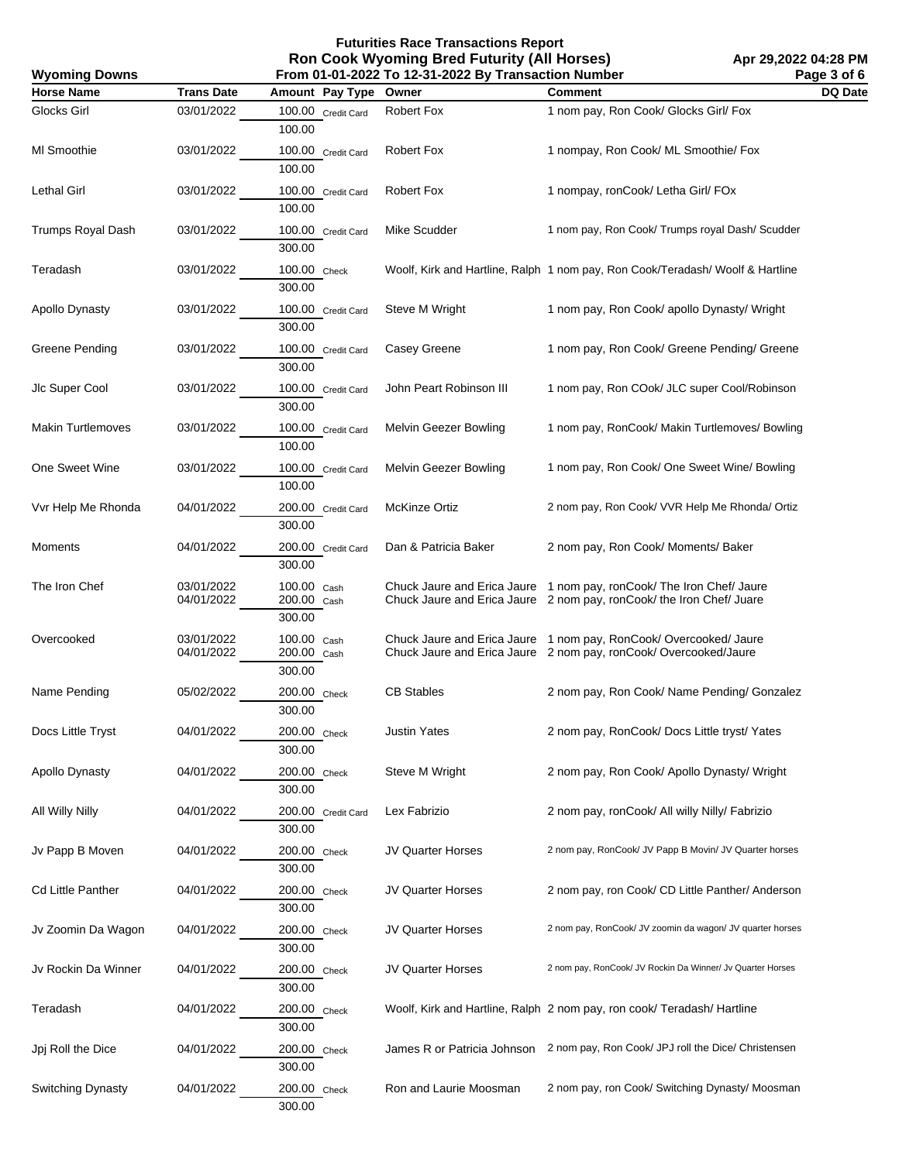**Futurities Race Transactions Report Ron Cook Wyoming Bred Futurity (All Horses) From 01-01-2022 To 12-31-2022 By Transaction Number**

**Apr 29,2022 04:28 PM Page 3 of 6**

| From 01-01-2022 To 12-31-2022 By Transaction Number<br><b>Wyoming Downs</b> |                          |                                      |                          |                                                                                                                                              | Page 3 of 6    |
|-----------------------------------------------------------------------------|--------------------------|--------------------------------------|--------------------------|----------------------------------------------------------------------------------------------------------------------------------------------|----------------|
| <b>Horse Name</b>                                                           | <b>Trans Date</b>        | Amount Pay Type                      | Owner                    | <b>Comment</b>                                                                                                                               | <b>DQ Date</b> |
| <b>Glocks Girl</b>                                                          | 03/01/2022               | 100.00 Credit Card<br>100.00         | Robert Fox               | 1 nom pay, Ron Cook/ Glocks Girl/ Fox                                                                                                        |                |
| MI Smoothie                                                                 | 03/01/2022               | 100.00 Credit Card<br>100.00         | <b>Robert Fox</b>        | 1 nompay, Ron Cook/ ML Smoothie/ Fox                                                                                                         |                |
| Lethal Girl                                                                 | 03/01/2022               | 100.00 Credit Card<br>100.00         | Robert Fox               | 1 nompay, ronCook/ Letha Girl/ FOx                                                                                                           |                |
| Trumps Royal Dash                                                           | 03/01/2022               | 100.00 Credit Card<br>300.00         | Mike Scudder             | 1 nom pay, Ron Cook/ Trumps royal Dash/ Scudder                                                                                              |                |
| Teradash                                                                    | 03/01/2022               | 100.00 Check<br>300.00               |                          | Woolf, Kirk and Hartline, Ralph 1 nom pay, Ron Cook/Teradash/ Woolf & Hartline                                                               |                |
| Apollo Dynasty                                                              | 03/01/2022               | 100.00 Credit Card<br>300.00         | Steve M Wright           | 1 nom pay, Ron Cook/ apollo Dynasty/ Wright                                                                                                  |                |
| Greene Pending                                                              | 03/01/2022               | 100.00 Credit Card<br>300.00         | Casey Greene             | 1 nom pay, Ron Cook/ Greene Pending/ Greene                                                                                                  |                |
| Jlc Super Cool                                                              | 03/01/2022               | 100.00 Credit Card<br>300.00         | John Peart Robinson III  | 1 nom pay, Ron COok/ JLC super Cool/Robinson                                                                                                 |                |
| <b>Makin Turtlemoves</b>                                                    | 03/01/2022               | 100.00 Credit Card<br>100.00         | Melvin Geezer Bowling    | 1 nom pay, RonCook/ Makin Turtlemoves/ Bowling                                                                                               |                |
| One Sweet Wine                                                              | 03/01/2022               | 100.00 Credit Card<br>100.00         | Melvin Geezer Bowling    | 1 nom pay, Ron Cook/ One Sweet Wine/ Bowling                                                                                                 |                |
| Vvr Help Me Rhonda                                                          | 04/01/2022               | 200.00 Credit Card<br>300.00         | <b>McKinze Ortiz</b>     | 2 nom pay, Ron Cook/ VVR Help Me Rhonda/ Ortiz                                                                                               |                |
| Moments                                                                     | 04/01/2022               | 200.00 Credit Card<br>300.00         | Dan & Patricia Baker     | 2 nom pay, Ron Cook/ Moments/ Baker                                                                                                          |                |
| The Iron Chef                                                               | 03/01/2022<br>04/01/2022 | 100.00 Cash<br>200.00 Cash<br>300.00 |                          | Chuck Jaure and Erica Jaure 1 nom pay, ronCook/ The Iron Chef/ Jaure<br>Chuck Jaure and Erica Jaure 2 nom pay, ronCook/ the Iron Chef/ Juare |                |
| Overcooked                                                                  | 03/01/2022<br>04/01/2022 | 100.00 Cash<br>200.00 Cash<br>300.00 |                          | Chuck Jaure and Erica Jaure 1 nom pay, RonCook/Overcooked/Jaure<br>Chuck Jaure and Erica Jaure 2 nom pay, ronCook/Overcooked/Jaure           |                |
| Name Pending                                                                | 05/02/2022               | 200.00 Check<br>300.00               | <b>CB Stables</b>        | 2 nom pay, Ron Cook/ Name Pending/ Gonzalez                                                                                                  |                |
| Docs Little Tryst                                                           | 04/01/2022               | 200.00 Check<br>300.00               | <b>Justin Yates</b>      | 2 nom pay, RonCook/ Docs Little tryst/ Yates                                                                                                 |                |
| Apollo Dynasty                                                              | 04/01/2022               | 200.00 Check<br>300.00               | Steve M Wright           | 2 nom pay, Ron Cook/ Apollo Dynasty/ Wright                                                                                                  |                |
| All Willy Nilly                                                             | 04/01/2022               | 200.00 Credit Card<br>300.00         | Lex Fabrizio             | 2 nom pay, ronCook/ All willy Nilly/ Fabrizio                                                                                                |                |
| Jv Papp B Moven                                                             | 04/01/2022               | 200.00 Check<br>300.00               | <b>JV Quarter Horses</b> | 2 nom pay, RonCook/ JV Papp B Movin/ JV Quarter horses                                                                                       |                |
| Cd Little Panther                                                           | 04/01/2022               | 200.00 Check<br>300.00               | <b>JV Quarter Horses</b> | 2 nom pay, ron Cook/ CD Little Panther/ Anderson                                                                                             |                |
| Jv Zoomin Da Wagon                                                          | 04/01/2022               | 200.00 Check<br>300.00               | <b>JV Quarter Horses</b> | 2 nom pay, RonCook/ JV zoomin da wagon/ JV quarter horses                                                                                    |                |
| Jv Rockin Da Winner                                                         | 04/01/2022               | 200.00 Check<br>300.00               | JV Quarter Horses        | 2 nom pay, RonCook/ JV Rockin Da Winner/ Jv Quarter Horses                                                                                   |                |
| Teradash                                                                    | 04/01/2022               | 200.00 Check<br>300.00               |                          | Woolf, Kirk and Hartline, Ralph 2 nom pay, ron cook/ Teradash/ Hartline                                                                      |                |
| Jpj Roll the Dice                                                           | 04/01/2022               | 200.00 Check<br>300.00               |                          | James R or Patricia Johnson 2 nom pay, Ron Cook/ JPJ roll the Dice/ Christensen                                                              |                |
| Switching Dynasty                                                           | 04/01/2022               | 200.00 Check<br>300.00               | Ron and Laurie Moosman   | 2 nom pay, ron Cook/ Switching Dynasty/ Moosman                                                                                              |                |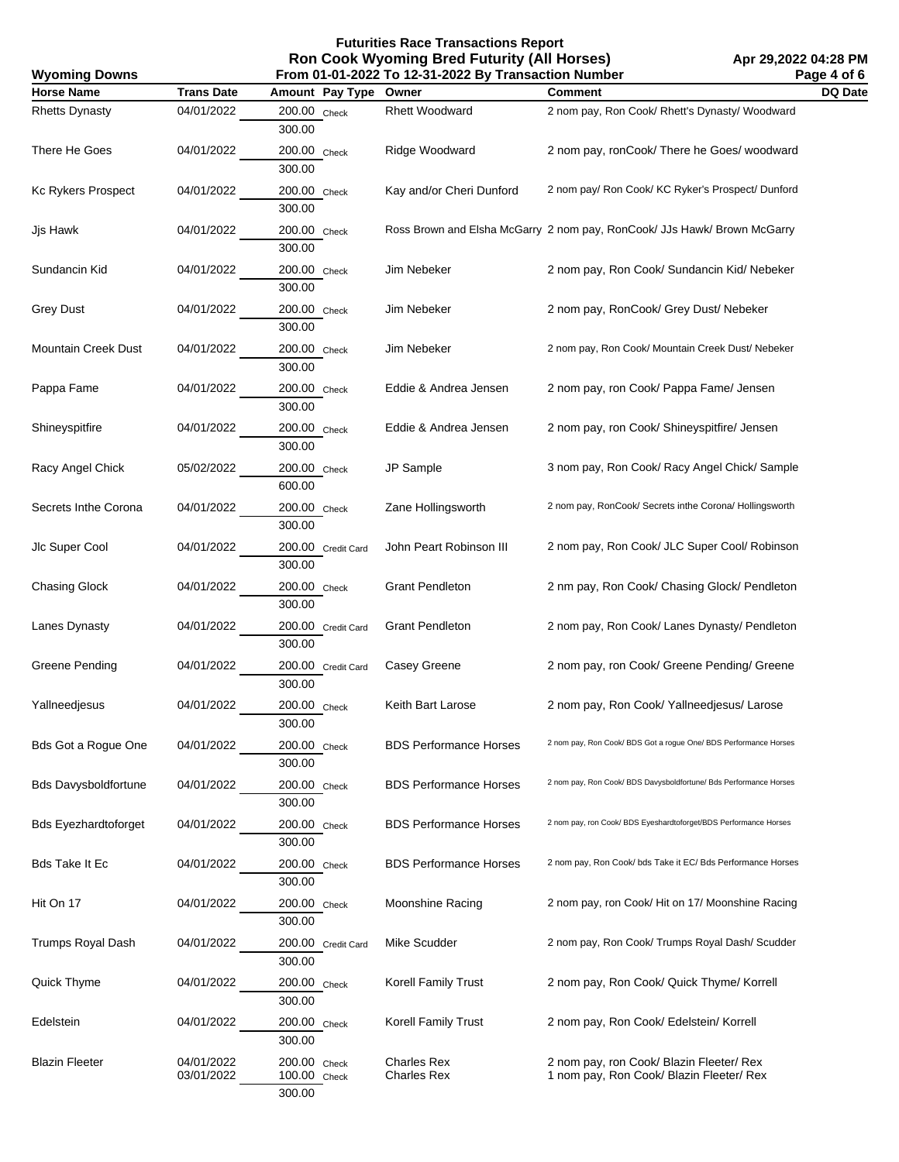**Futurities Race Transactions Report Ron Cook Wyoming Bred Futurity (All Horses)**

| From 01-01-2022 To 12-31-2022 By Transaction Number<br><b>Wyoming Downs</b> |                          |                                        |                                          |                                                                                      | Page 4 of 6 |
|-----------------------------------------------------------------------------|--------------------------|----------------------------------------|------------------------------------------|--------------------------------------------------------------------------------------|-------------|
| <b>Horse Name</b>                                                           | <b>Trans Date</b>        | Amount Pay Type Owner                  |                                          | <b>Comment</b>                                                                       | DQ Date     |
| <b>Rhetts Dynasty</b>                                                       | 04/01/2022               | 200.00 Check<br>300.00                 | <b>Rhett Woodward</b>                    | 2 nom pay, Ron Cook/ Rhett's Dynasty/ Woodward                                       |             |
| There He Goes                                                               | 04/01/2022               | 200.00 Check<br>300.00                 | Ridge Woodward                           | 2 nom pay, ronCook/ There he Goes/ woodward                                          |             |
| Kc Rykers Prospect                                                          | 04/01/2022               | 200.00 Check<br>300.00                 | Kay and/or Cheri Dunford                 | 2 nom pay/ Ron Cook/ KC Ryker's Prospect/ Dunford                                    |             |
| Jjs Hawk                                                                    | 04/01/2022               | 200.00 Check<br>300.00                 |                                          | Ross Brown and Elsha McGarry 2 nom pay, RonCook/ JJs Hawk/ Brown McGarry             |             |
| Sundancin Kid                                                               | 04/01/2022               | 200.00 Check<br>300.00                 | Jim Nebeker                              | 2 nom pay, Ron Cook/ Sundancin Kid/ Nebeker                                          |             |
| Grey Dust                                                                   | 04/01/2022               | 200.00 Check<br>300.00                 | Jim Nebeker                              | 2 nom pay, RonCook/ Grey Dust/ Nebeker                                               |             |
| Mountain Creek Dust                                                         | 04/01/2022               | 200.00 Check<br>300.00                 | Jim Nebeker                              | 2 nom pay, Ron Cook/ Mountain Creek Dust/ Nebeker                                    |             |
| Pappa Fame                                                                  | 04/01/2022               | 200.00 Check<br>300.00                 | Eddie & Andrea Jensen                    | 2 nom pay, ron Cook/ Pappa Fame/ Jensen                                              |             |
| Shineyspitfire                                                              | 04/01/2022               | 200.00 Check<br>300.00                 | Eddie & Andrea Jensen                    | 2 nom pay, ron Cook/ Shineyspitfire/ Jensen                                          |             |
| Racy Angel Chick                                                            | 05/02/2022               | 200.00 Check<br>600.00                 | JP Sample                                | 3 nom pay, Ron Cook/ Racy Angel Chick/ Sample                                        |             |
| Secrets Inthe Corona                                                        | 04/01/2022               | 200.00 Check<br>300.00                 | Zane Hollingsworth                       | 2 nom pay, RonCook/ Secrets inthe Corona/ Hollingsworth                              |             |
| Jlc Super Cool                                                              | 04/01/2022               | 200.00 Credit Card<br>300.00           | John Peart Robinson III                  | 2 nom pay, Ron Cook/ JLC Super Cool/ Robinson                                        |             |
| <b>Chasing Glock</b>                                                        | 04/01/2022               | 200.00 Check<br>300.00                 | <b>Grant Pendleton</b>                   | 2 nm pay, Ron Cook/ Chasing Glock/ Pendleton                                         |             |
| Lanes Dynasty                                                               | 04/01/2022               | 200.00 Credit Card<br>300.00           | <b>Grant Pendleton</b>                   | 2 nom pay, Ron Cook/ Lanes Dynasty/ Pendleton                                        |             |
| Greene Pending                                                              | 04/01/2022               | 200.00 Credit Card<br>300.00           | Casey Greene                             | 2 nom pay, ron Cook/ Greene Pending/ Greene                                          |             |
| Yallneedjesus                                                               | 04/01/2022               | 200.00 Check<br>300.00                 | Keith Bart Larose                        | 2 nom pay, Ron Cook/ Yallneedjesus/ Larose                                           |             |
| Bds Got a Rogue One                                                         | 04/01/2022               | 200.00 Check<br>300.00                 | <b>BDS Performance Horses</b>            | 2 nom pay, Ron Cook/ BDS Got a rogue One/ BDS Performance Horses                     |             |
| <b>Bds Davysboldfortune</b>                                                 | 04/01/2022               | 200.00 Check<br>300.00                 | <b>BDS Performance Horses</b>            | 2 nom pay, Ron Cook/ BDS Davysboldfortune/ Bds Performance Horses                    |             |
| <b>Bds Eyezhardtoforget</b>                                                 | 04/01/2022               | 200.00 Check<br>300.00                 | <b>BDS Performance Horses</b>            | 2 nom pay, ron Cook/ BDS Eyeshardtoforget/BDS Performance Horses                     |             |
| Bds Take It Ec                                                              | 04/01/2022               | 200.00 Check<br>300.00                 | <b>BDS Performance Horses</b>            | 2 nom pay, Ron Cook/ bds Take it EC/ Bds Performance Horses                          |             |
| Hit On 17                                                                   | 04/01/2022               | 200.00 Check<br>300.00                 | Moonshine Racing                         | 2 nom pay, ron Cook/ Hit on 17/ Moonshine Racing                                     |             |
| Trumps Royal Dash                                                           | 04/01/2022               | 200.00 Credit Card<br>300.00           | Mike Scudder                             | 2 nom pay, Ron Cook/ Trumps Royal Dash/ Scudder                                      |             |
| Quick Thyme                                                                 | 04/01/2022               | 200.00 Check<br>300.00                 | Korell Family Trust                      | 2 nom pay, Ron Cook/ Quick Thyme/ Korrell                                            |             |
| Edelstein                                                                   | 04/01/2022               | 200.00 Check<br>300.00                 | Korell Family Trust                      | 2 nom pay, Ron Cook/ Edelstein/ Korrell                                              |             |
| <b>Blazin Fleeter</b>                                                       | 04/01/2022<br>03/01/2022 | 200.00 Check<br>100.00 Check<br>300.00 | <b>Charles Rex</b><br><b>Charles Rex</b> | 2 nom pay, ron Cook/ Blazin Fleeter/ Rex<br>1 nom pay, Ron Cook/ Blazin Fleeter/ Rex |             |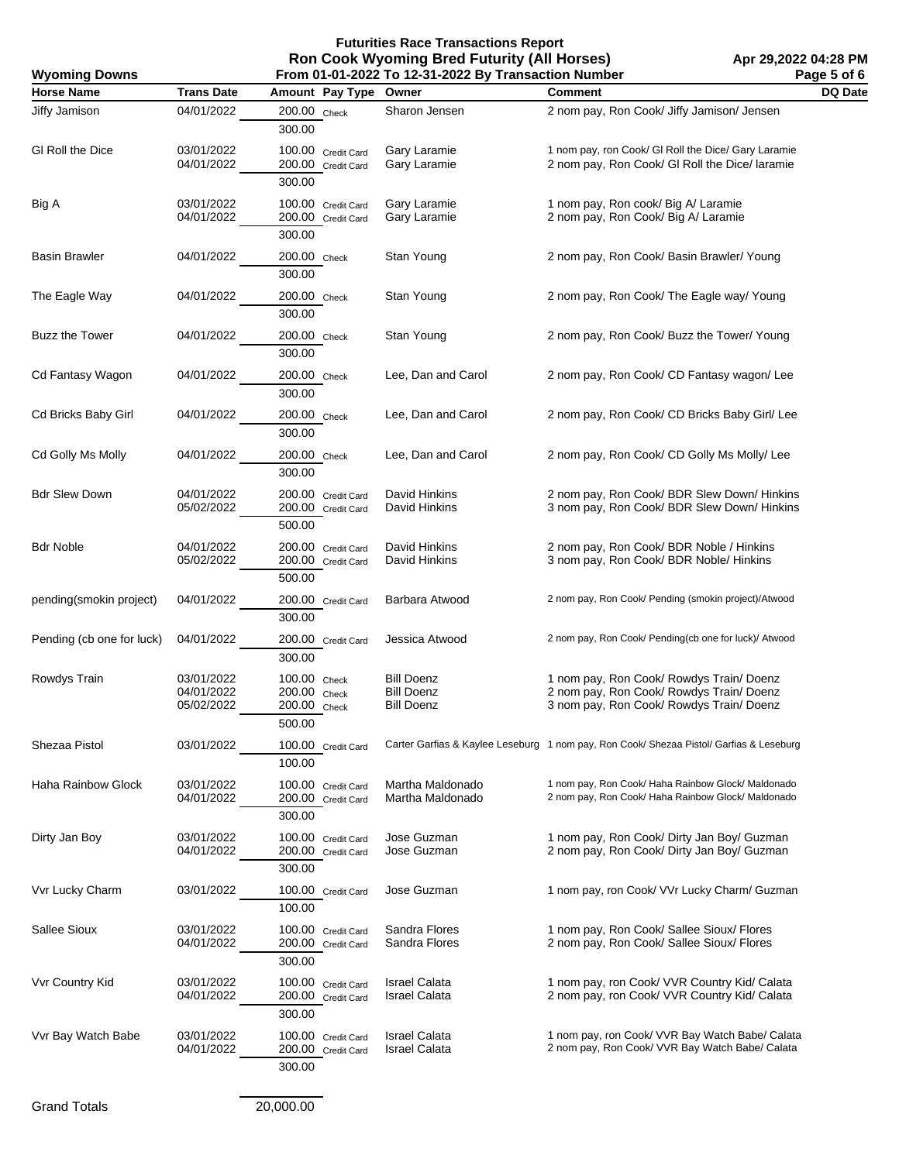**Futurities Race Transactions Report Ron Cook Wyoming Bred Futurity (All Horses) From 01-01-2022 To 12-31-2022 By Transaction Number**

| From 01-01-2022 To 12-31-2022 By Transaction Number<br><b>Wyoming Downs</b> |                                        |                                                        |                                                             |                                                                                                                                  | Page 5 of 6 |
|-----------------------------------------------------------------------------|----------------------------------------|--------------------------------------------------------|-------------------------------------------------------------|----------------------------------------------------------------------------------------------------------------------------------|-------------|
| <b>Horse Name</b>                                                           | <b>Trans Date</b>                      | Amount Pay Type                                        | Owner                                                       | <b>Comment</b>                                                                                                                   | DQ Date     |
| Jiffy Jamison                                                               | 04/01/2022                             | 200.00 Check<br>300.00                                 | Sharon Jensen                                               | 2 nom pay, Ron Cook/ Jiffy Jamison/ Jensen                                                                                       |             |
| GI Roll the Dice                                                            | 03/01/2022<br>04/01/2022               | 100.00 Credit Card<br>200.00 Credit Card<br>300.00     | Gary Laramie<br>Gary Laramie                                | 1 nom pay, ron Cook/ GI Roll the Dice/ Gary Laramie<br>2 nom pay, Ron Cook/ GI Roll the Dice/ laramie                            |             |
| Big A                                                                       | 03/01/2022<br>04/01/2022               | 100.00 Credit Card<br>200.00 Credit Card<br>300.00     | Gary Laramie<br>Gary Laramie                                | 1 nom pay, Ron cook/ Big A/ Laramie<br>2 nom pay, Ron Cook/ Big A/ Laramie                                                       |             |
| Basin Brawler                                                               | 04/01/2022                             | 200.00 Check<br>300.00                                 | Stan Young                                                  | 2 nom pay, Ron Cook/ Basin Brawler/ Young                                                                                        |             |
| The Eagle Way                                                               | 04/01/2022                             | 200.00 Check<br>300.00                                 | Stan Young                                                  | 2 nom pay, Ron Cook/ The Eagle way/ Young                                                                                        |             |
| <b>Buzz the Tower</b>                                                       | 04/01/2022                             | 200.00 Check<br>300.00                                 | Stan Young                                                  | 2 nom pay, Ron Cook/ Buzz the Tower/ Young                                                                                       |             |
| Cd Fantasy Wagon                                                            | 04/01/2022                             | 200.00 Check<br>300.00                                 | Lee, Dan and Carol                                          | 2 nom pay, Ron Cook/ CD Fantasy wagon/ Lee                                                                                       |             |
| Cd Bricks Baby Girl                                                         | 04/01/2022                             | 200.00 Check<br>300.00                                 | Lee, Dan and Carol                                          | 2 nom pay, Ron Cook/ CD Bricks Baby Girl/ Lee                                                                                    |             |
| Cd Golly Ms Molly                                                           | 04/01/2022                             | 200.00 Check<br>300.00                                 | Lee, Dan and Carol                                          | 2 nom pay, Ron Cook/ CD Golly Ms Molly/ Lee                                                                                      |             |
| <b>Bdr Slew Down</b>                                                        | 04/01/2022<br>05/02/2022               | 200.00 Credit Card<br>200.00 Credit Card<br>500.00     | David Hinkins<br>David Hinkins                              | 2 nom pay, Ron Cook/ BDR Slew Down/ Hinkins<br>3 nom pay, Ron Cook/ BDR Slew Down/ Hinkins                                       |             |
| <b>Bdr Noble</b>                                                            | 04/01/2022<br>05/02/2022               | 200.00 Credit Card<br>200.00 Credit Card<br>500.00     | David Hinkins<br>David Hinkins                              | 2 nom pay, Ron Cook/ BDR Noble / Hinkins<br>3 nom pay, Ron Cook/ BDR Noble/ Hinkins                                              |             |
| pending(smokin project)                                                     | 04/01/2022                             | 200.00 Credit Card<br>300.00                           | Barbara Atwood                                              | 2 nom pay, Ron Cook/ Pending (smokin project)/Atwood                                                                             |             |
| Pending (cb one for luck)                                                   | 04/01/2022                             | 200.00 Credit Card<br>300.00                           | Jessica Atwood                                              | 2 nom pay, Ron Cook/ Pending(cb one for luck)/ Atwood                                                                            |             |
| Rowdys Train                                                                | 03/01/2022<br>04/01/2022<br>05/02/2022 | 100.00 Check<br>200.00 Check<br>200.00 Check<br>500.00 | <b>Bill Doenz</b><br><b>Bill Doenz</b><br><b>Bill Doenz</b> | 1 nom pay, Ron Cook/ Rowdys Train/ Doenz<br>2 nom pay, Ron Cook/ Rowdys Train/ Doenz<br>3 nom pay, Ron Cook/ Rowdys Train/ Doenz |             |
| Shezaa Pistol                                                               | 03/01/2022                             | 100.00 Credit Card<br>100.00                           |                                                             | Carter Garfias & Kaylee Leseburg 1 nom pay, Ron Cook/ Shezaa Pistol/ Garfias & Leseburg                                          |             |
| Haha Rainbow Glock                                                          | 03/01/2022<br>04/01/2022               | 100.00 Credit Card<br>200.00 Credit Card<br>300.00     | Martha Maldonado<br>Martha Maldonado                        | 1 nom pay, Ron Cook/ Haha Rainbow Glock/ Maldonado<br>2 nom pay, Ron Cook/ Haha Rainbow Glock/ Maldonado                         |             |
| Dirty Jan Boy                                                               | 03/01/2022<br>04/01/2022               | 100.00 Credit Card<br>200.00 Credit Card<br>300.00     | Jose Guzman<br>Jose Guzman                                  | 1 nom pay, Ron Cook/ Dirty Jan Boy/ Guzman<br>2 nom pay, Ron Cook/ Dirty Jan Boy/ Guzman                                         |             |
| Vvr Lucky Charm                                                             | 03/01/2022                             | 100.00 Credit Card<br>100.00                           | Jose Guzman                                                 | 1 nom pay, ron Cook/ VVr Lucky Charm/ Guzman                                                                                     |             |
| Sallee Sioux                                                                | 03/01/2022<br>04/01/2022               | 100.00 Credit Card<br>200.00 Credit Card<br>300.00     | Sandra Flores<br>Sandra Flores                              | 1 nom pay, Ron Cook/ Sallee Sioux/ Flores<br>2 nom pay, Ron Cook/ Sallee Sioux/ Flores                                           |             |
| Vvr Country Kid                                                             | 03/01/2022<br>04/01/2022               | 100.00 Credit Card<br>200.00 Credit Card<br>300.00     | <b>Israel Calata</b><br><b>Israel Calata</b>                | 1 nom pay, ron Cook/ VVR Country Kid/ Calata<br>2 nom pay, ron Cook/ VVR Country Kid/ Calata                                     |             |
| Vvr Bay Watch Babe                                                          | 03/01/2022<br>04/01/2022               | 100.00 Credit Card<br>200.00 Credit Card<br>300.00     | <b>Israel Calata</b><br><b>Israel Calata</b>                | 1 nom pay, ron Cook/ VVR Bay Watch Babe/ Calata<br>2 nom pay, Ron Cook/ VVR Bay Watch Babe/ Calata                               |             |